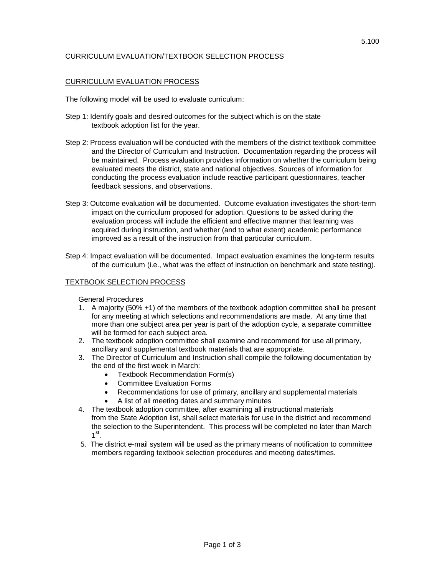# CURRICULUM EVALUATION/TEXTBOOK SELECTION PROCESS

# CURRICULUM EVALUATION PROCESS

The following model will be used to evaluate curriculum:

- Step 1: Identify goals and desired outcomes for the subject which is on the state textbook adoption list for the year.
- Step 2: Process evaluation will be conducted with the members of the district textbook committee and the Director of Curriculum and Instruction. Documentation regarding the process will be maintained. Process evaluation provides information on whether the curriculum being evaluated meets the district, state and national objectives. Sources of information for conducting the process evaluation include reactive participant questionnaires, teacher feedback sessions, and observations.
- Step 3: Outcome evaluation will be documented. Outcome evaluation investigates the short-term impact on the curriculum proposed for adoption. Questions to be asked during the evaluation process will include the efficient and effective manner that learning was acquired during instruction, and whether (and to what extent) academic performance improved as a result of the instruction from that particular curriculum.
- Step 4: Impact evaluation will be documented. Impact evaluation examines the long-term results of the curriculum (i.e., what was the effect of instruction on benchmark and state testing).

# TEXTBOOK SELECTION PROCESS

# General Procedures

- 1. A majority (50% +1) of the members of the textbook adoption committee shall be present for any meeting at which selections and recommendations are made. At any time that more than one subject area per year is part of the adoption cycle, a separate committee will be formed for each subject area.
- 2. The textbook adoption committee shall examine and recommend for use all primary, ancillary and supplemental textbook materials that are appropriate.
- 3. The Director of Curriculum and Instruction shall compile the following documentation by the end of the first week in March:
	- Textbook Recommendation Form(s)
	- Committee Evaluation Forms
	- Recommendations for use of primary, ancillary and supplemental materials
	- A list of all meeting dates and summary minutes
- 4. The textbook adoption committee, after examining all instructional materials from the State Adoption list, shall select materials for use in the district and recommend the selection to the Superintendent. This process will be completed no later than March  $1<sup>st</sup>$ .
- 5. The district e-mail system will be used as the primary means of notification to committee members regarding textbook selection procedures and meeting dates/times.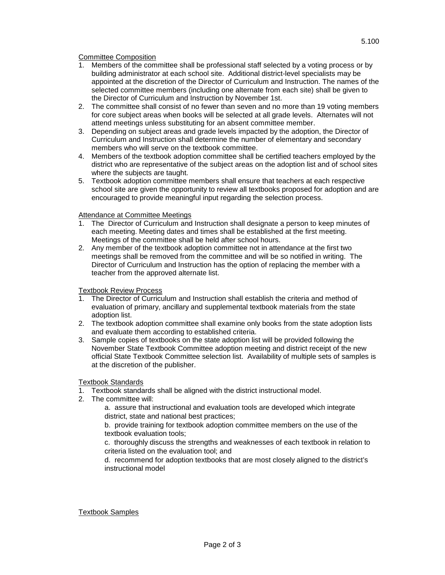Committee Composition

- 1. Members of the committee shall be professional staff selected by a voting process or by building administrator at each school site. Additional district-level specialists may be appointed at the discretion of the Director of Curriculum and Instruction. The names of the selected committee members (including one alternate from each site) shall be given to the Director of Curriculum and Instruction by November 1st.
- 2. The committee shall consist of no fewer than seven and no more than 19 voting members for core subject areas when books will be selected at all grade levels. Alternates will not attend meetings unless substituting for an absent committee member.
- 3. Depending on subject areas and grade levels impacted by the adoption, the Director of Curriculum and Instruction shall determine the number of elementary and secondary members who will serve on the textbook committee.
- 4. Members of the textbook adoption committee shall be certified teachers employed by the district who are representative of the subject areas on the adoption list and of school sites where the subjects are taught.
- 5. Textbook adoption committee members shall ensure that teachers at each respective school site are given the opportunity to review all textbooks proposed for adoption and are encouraged to provide meaningful input regarding the selection process.

# **Attendance at Committee Meetings**

- 1. The Director of Curriculum and Instruction shall designate a person to keep minutes of each meeting. Meeting dates and times shall be established at the first meeting. Meetings of the committee shall be held after school hours.
- 2. Any member of the textbook adoption committee not in attendance at the first two meetings shall be removed from the committee and will be so notified in writing. The Director of Curriculum and Instruction has the option of replacing the member with a teacher from the approved alternate list.

#### Textbook Review Process

- 1. The Director of Curriculum and Instruction shall establish the criteria and method of evaluation of primary, ancillary and supplemental textbook materials from the state adoption list.
- 2. The textbook adoption committee shall examine only books from the state adoption lists and evaluate them according to established criteria.
- 3. Sample copies of textbooks on the state adoption list will be provided following the November State Textbook Committee adoption meeting and district receipt of the new official State Textbook Committee selection list. Availability of multiple sets of samples is at the discretion of the publisher.

# Textbook Standards

- 1. Textbook standards shall be aligned with the district instructional model.
- 2. The committee will:
	- a. assure that instructional and evaluation tools are developed which integrate district, state and national best practices;

b. provide training for textbook adoption committee members on the use of the textbook evaluation tools;

c. thoroughly discuss the strengths and weaknesses of each textbook in relation to criteria listed on the evaluation tool; and

d. recommend for adoption textbooks that are most closely aligned to the district's instructional model

Textbook Samples